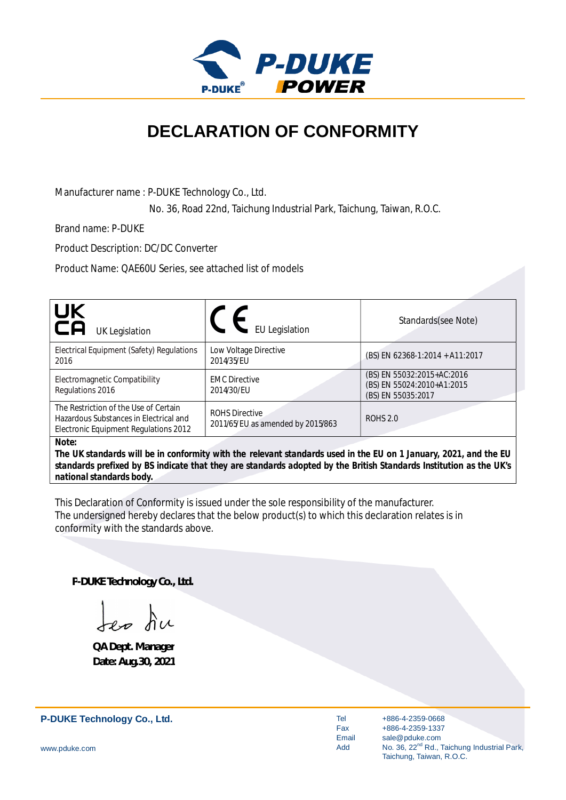

## **DECLARATION OF CONFORMITY**

Manufacturer name : P-DUKE Technology Co., Ltd.

No. 36, Road 22nd, Taichung Industrial Park, Taichung, Taiwan, R.O.C.

Brand name: P-DUKE

Product Description: DC/DC Converter

Product Name: QAE60U Series, see attached list of models

| UK<br>CA<br><b>UK Legislation</b>                                                                                        | <b>EU Legislation</b>                                      | Standards(see Note)                                                                                                |
|--------------------------------------------------------------------------------------------------------------------------|------------------------------------------------------------|--------------------------------------------------------------------------------------------------------------------|
| Electrical Equipment (Safety) Regulations<br>2016                                                                        | Low Voltage Directive<br>2014/35/EU                        | (BS) EN 62368-1:2014 + A11:2017                                                                                    |
| Electromagnetic Compatibility<br>Regulations 2016                                                                        | <b>EMC Directive</b><br>2014/30/EU                         | (BS) EN 55032:2015+AC:2016<br>(BS) EN 55024:2010+A1:2015<br>(BS) EN 55035:2017                                     |
| The Restriction of the Use of Certain<br>Hazardous Substances in Electrical and<br>Electronic Equipment Regulations 2012 | <b>ROHS Directive</b><br>2011/65/EU as amended by 2015/863 | <b>ROHS 2.0</b>                                                                                                    |
| Note:                                                                                                                    |                                                            | The LIK standards will be in conformity with the relevant standards used in the ELL on 1 January 2021, and the ELL |

*The UK standards will be in conformity with the relevant standards used in the EU on 1 January, 2021, and the EU standards prefixed by BS indicate that they are standards adopted by the British Standards Institution as the UK's national standards body.*

This Declaration of Conformity is issued under the sole responsibility of the manufacturer. The undersigned hereby declares that the below product(s) to which this declaration relates is in conformity with the standards above.

**P-DUKE Technology Co., Ltd.**

**QA Dept. Manager Date: Aug.30, 2021**

**P-DUKE Technology Co., Ltd.**

Tel Fax Email Add

+886-4-2359-0668 +886-4-2359-1337 sale@pduke.com No. 36, 22<sup>nd</sup> Rd., Taichung Industrial Park, Taichung, Taiwan, R.O.C.